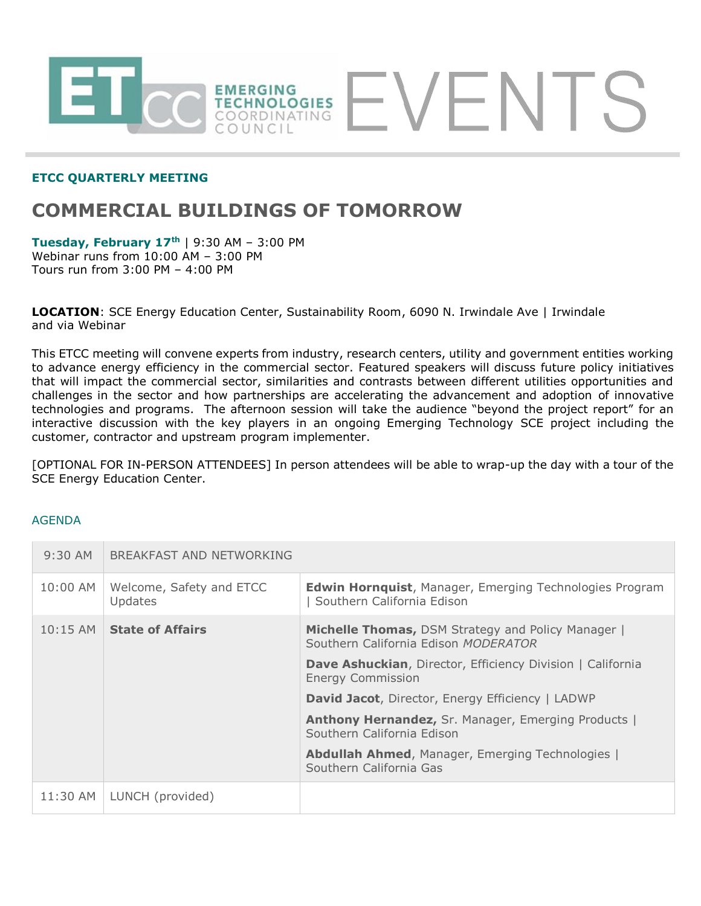

## **ETCC QUARTERLY MEETING**

# **COMMERCIAL BUILDINGS OF TOMORROW**

**Tuesday, February 17th** | 9:30 AM – 3:00 PM Webinar runs from 10:00 AM – 3:00 PM Tours run from 3:00 PM – 4:00 PM

**LOCATION**: SCE Energy Education Center, Sustainability Room, 6090 N. Irwindale Ave | Irwindale and via Webinar

This ETCC meeting will convene experts from industry, research centers, utility and government entities working to advance energy efficiency in the commercial sector. Featured speakers will discuss future policy initiatives that will impact the commercial sector, similarities and contrasts between different utilities opportunities and challenges in the sector and how partnerships are accelerating the advancement and adoption of innovative technologies and programs. The afternoon session will take the audience "beyond the project report" for an interactive discussion with the key players in an ongoing Emerging Technology SCE project including the customer, contractor and upstream program implementer.

[OPTIONAL FOR IN-PERSON ATTENDEES] In person attendees will be able to wrap-up the day with a tour of the SCE Energy Education Center.

#### AGENDA

| $9:30$ AM  | BREAKFAST AND NETWORKING                   |                                                                                              |
|------------|--------------------------------------------|----------------------------------------------------------------------------------------------|
| 10:00 AM   | Welcome, Safety and ETCC<br><b>Updates</b> | <b>Edwin Hornquist, Manager, Emerging Technologies Program</b><br>Southern California Edison |
| $10:15$ AM | <b>State of Affairs</b>                    | Michelle Thomas, DSM Strategy and Policy Manager  <br>Southern California Edison MODERATOR   |
|            |                                            | Dave Ashuckian, Director, Efficiency Division   California<br><b>Energy Commission</b>       |
|            |                                            | <b>David Jacot, Director, Energy Efficiency   LADWP</b>                                      |
|            |                                            | Anthony Hernandez, Sr. Manager, Emerging Products  <br>Southern California Edison            |
|            |                                            | Abdullah Ahmed, Manager, Emerging Technologies  <br>Southern California Gas                  |
| 11:30 AM   | LUNCH (provided)                           |                                                                                              |